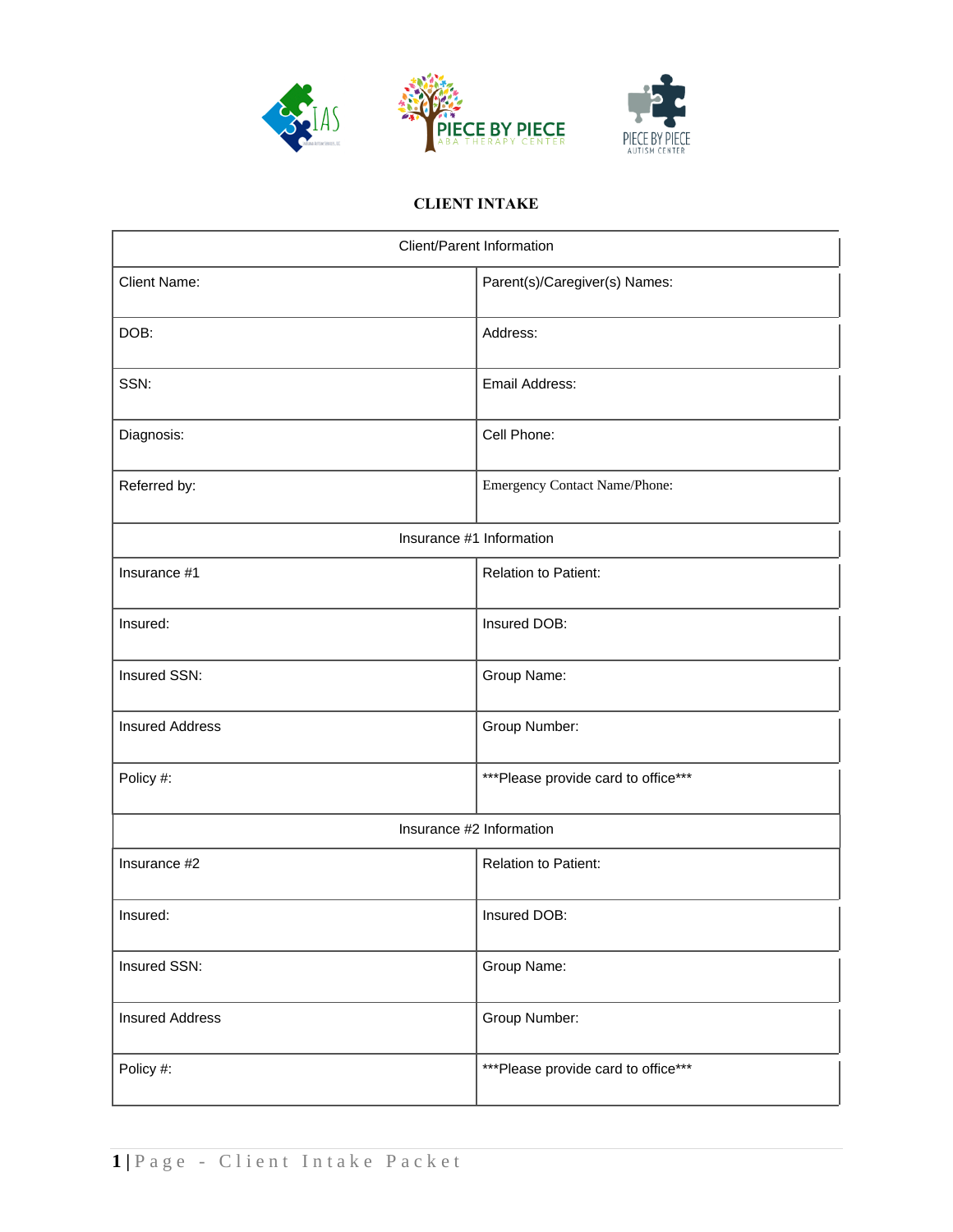

# **CLIENT INTAKE**

| Client/Parent Information |                                     |  |
|---------------------------|-------------------------------------|--|
| <b>Client Name:</b>       | Parent(s)/Caregiver(s) Names:       |  |
| DOB:                      | Address:                            |  |
| SSN:                      | Email Address:                      |  |
| Diagnosis:                | Cell Phone:                         |  |
| Referred by:              | Emergency Contact Name/Phone:       |  |
|                           | Insurance #1 Information            |  |
| Insurance #1              | <b>Relation to Patient:</b>         |  |
| Insured:                  | Insured DOB:                        |  |
| Insured SSN:              | Group Name:                         |  |
| <b>Insured Address</b>    | Group Number:                       |  |
| Policy #:                 | ***Please provide card to office*** |  |
| Insurance #2 Information  |                                     |  |
| Insurance #2              | Relation to Patient:                |  |
| Insured:                  | Insured DOB:                        |  |
| Insured SSN:              | Group Name:                         |  |
| <b>Insured Address</b>    | Group Number:                       |  |
| Policy #:                 | ***Please provide card to office*** |  |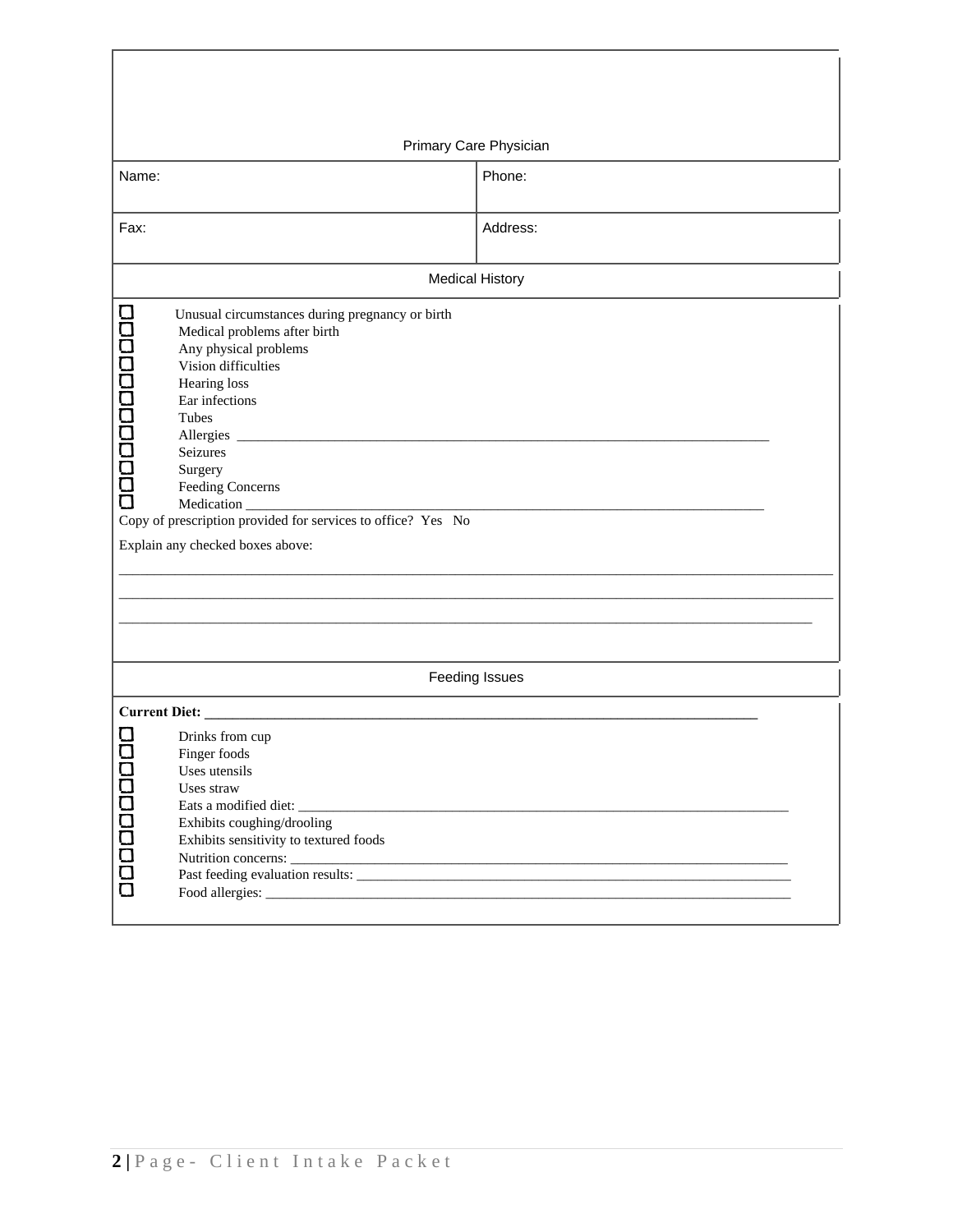|              | Primary Care Physician                                                                                                                                                     |                        |  |  |
|--------------|----------------------------------------------------------------------------------------------------------------------------------------------------------------------------|------------------------|--|--|
| Name:        |                                                                                                                                                                            | Phone:                 |  |  |
|              |                                                                                                                                                                            |                        |  |  |
|              |                                                                                                                                                                            |                        |  |  |
| Fax:         |                                                                                                                                                                            | Address:               |  |  |
|              |                                                                                                                                                                            |                        |  |  |
|              |                                                                                                                                                                            | <b>Medical History</b> |  |  |
| 000000000000 | Unusual circumstances during pregnancy or birth<br>Medical problems after birth<br>Any physical problems<br>Vision difficulties<br>Hearing loss<br>Ear infections<br>Tubes |                        |  |  |
|              | Allergies<br>Seizures<br>Surgery<br>Feeding Concerns<br>Medication_                                                                                                        |                        |  |  |
|              | Copy of prescription provided for services to office? Yes No                                                                                                               |                        |  |  |
|              | Explain any checked boxes above:                                                                                                                                           |                        |  |  |
|              |                                                                                                                                                                            |                        |  |  |
|              |                                                                                                                                                                            |                        |  |  |
|              |                                                                                                                                                                            |                        |  |  |
|              |                                                                                                                                                                            |                        |  |  |
|              | Feeding Issues                                                                                                                                                             |                        |  |  |
|              | <b>Current Diet:</b>                                                                                                                                                       |                        |  |  |
| 000000000    | Drinks from cup<br>Finger foods<br>Uses utensils<br>Uses straw<br>Exhibits coughing/drooling<br>Exhibits sensitivity to textured foods                                     |                        |  |  |
|              |                                                                                                                                                                            |                        |  |  |
|              |                                                                                                                                                                            |                        |  |  |

Г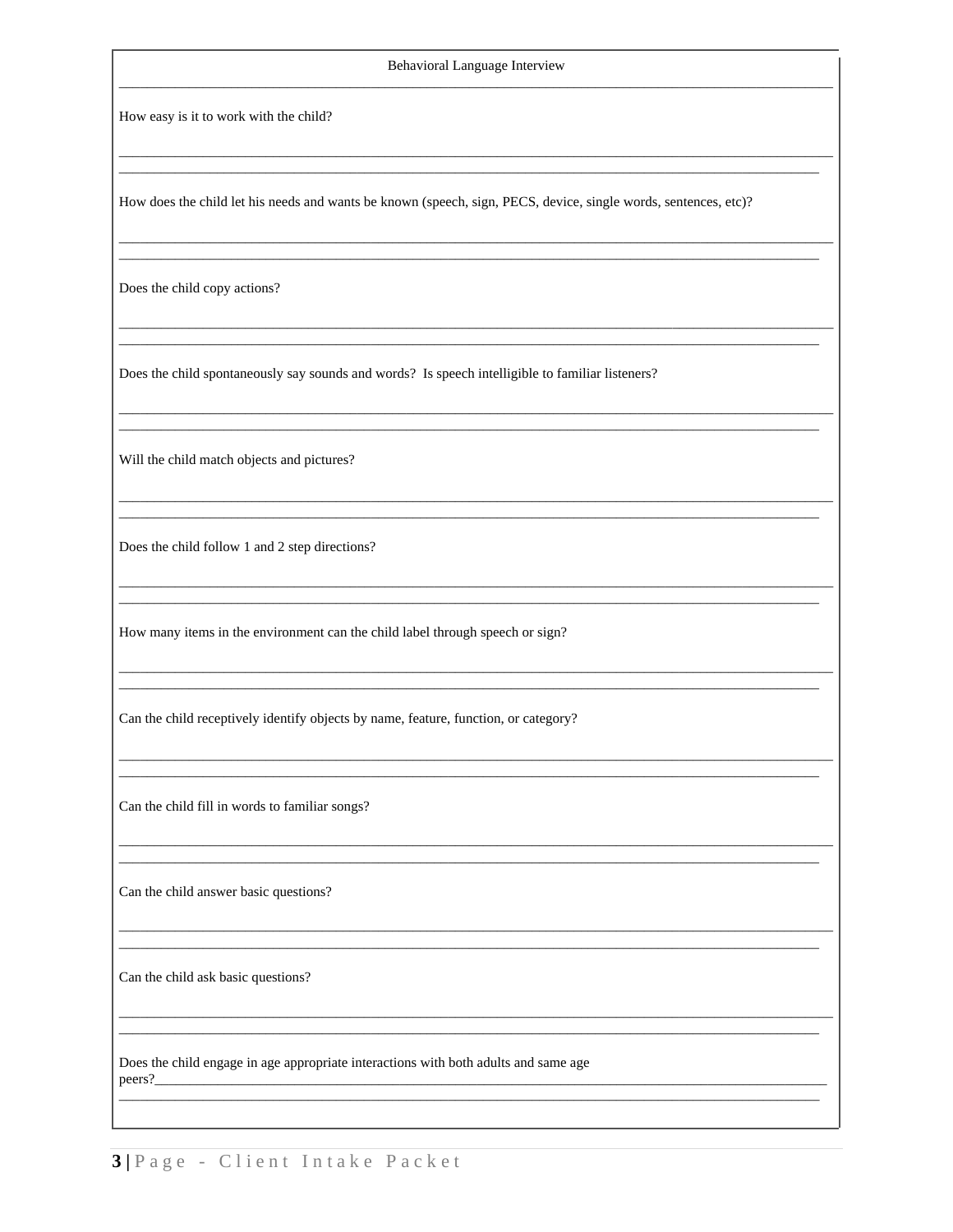### Behavioral Language Interview

How easy is it to work with the child?

How does the child let his needs and wants be known (speech, sign, PECS, device, single words, sentences, etc)?

Does the child copy actions?

Does the child spontaneously say sounds and words? Is speech intelligible to familiar listeners?

Will the child match objects and pictures?

Does the child follow 1 and 2 step directions?

How many items in the environment can the child label through speech or sign?

Can the child receptively identify objects by name, feature, function, or category?

Can the child fill in words to familiar songs?

Can the child answer basic questions?

Can the child ask basic questions?

Does the child engage in age appropriate interactions with both adults and same age peers?

3 | Page - Client Intake Packet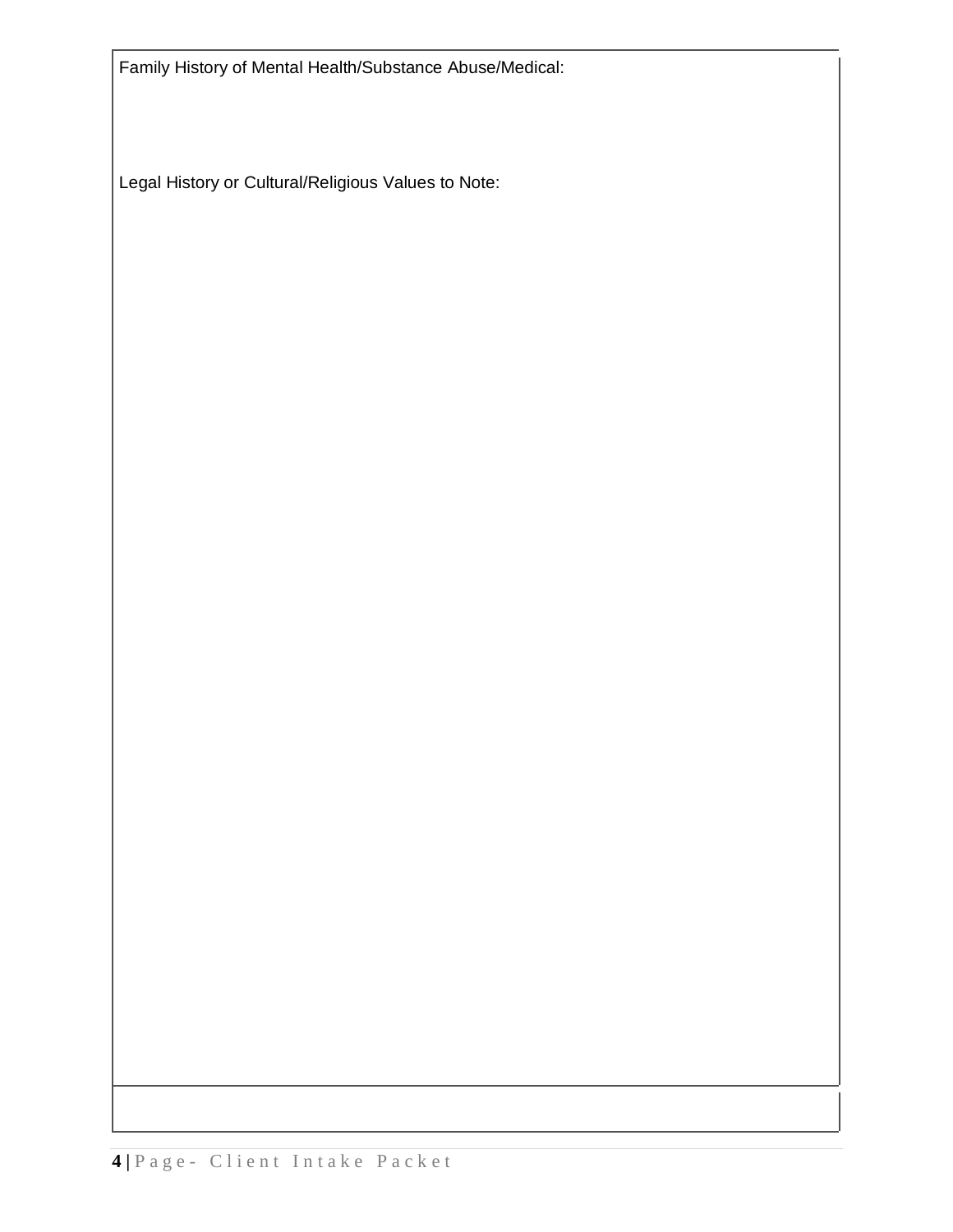Family History of Mental Health/Substance Abuse/Medical:

Legal History or Cultural/Religious Values to Note: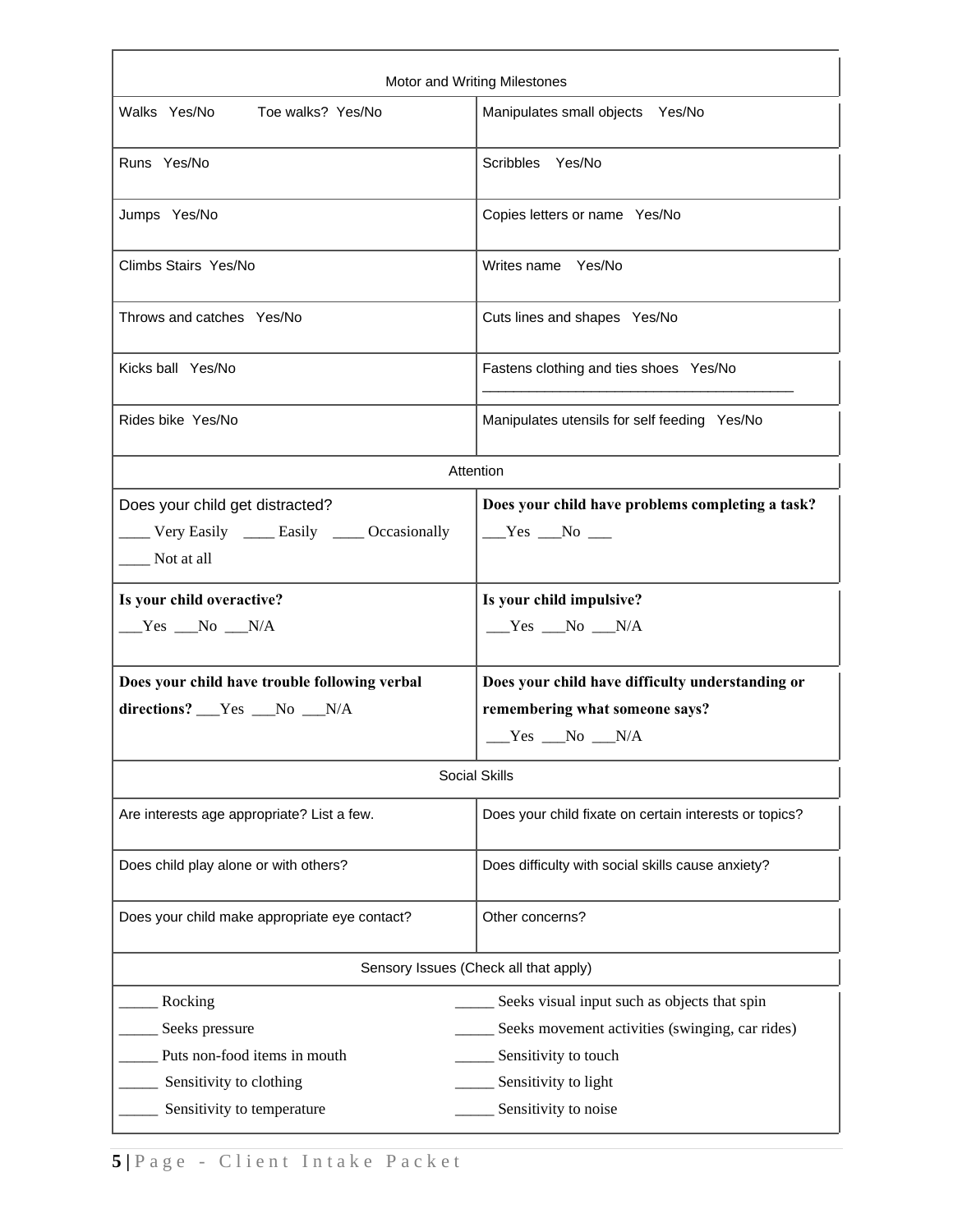| Motor and Writing Milestones                                                                   |                                                                     |  |  |
|------------------------------------------------------------------------------------------------|---------------------------------------------------------------------|--|--|
| Walks Yes/No<br>Toe walks? Yes/No                                                              | Manipulates small objects Yes/No                                    |  |  |
| Runs Yes/No                                                                                    | Scribbles Yes/No                                                    |  |  |
| Jumps Yes/No                                                                                   | Copies letters or name Yes/No                                       |  |  |
| Climbs Stairs Yes/No                                                                           | Writes name Yes/No                                                  |  |  |
| Throws and catches Yes/No                                                                      | Cuts lines and shapes Yes/No                                        |  |  |
| Kicks ball Yes/No                                                                              | Fastens clothing and ties shoes Yes/No                              |  |  |
| Rides bike Yes/No                                                                              | Manipulates utensils for self feeding Yes/No                        |  |  |
|                                                                                                | Attention                                                           |  |  |
| Does your child get distracted?<br>Very Easily ______ Easily ______ Occasionally<br>Not at all | Does your child have problems completing a task?<br>$Yes$ No $\_\_$ |  |  |
| Is your child overactive?                                                                      | Is your child impulsive?                                            |  |  |
| $Yes$ No $N/A$                                                                                 | $Yes$ No $N/A$                                                      |  |  |
| Does your child have trouble following verbal                                                  | Does your child have difficulty understanding or                    |  |  |
| directions? __Yes __No __N/A                                                                   | remembering what someone says?<br>$Yes$ No $N/A$                    |  |  |
| Social Skills                                                                                  |                                                                     |  |  |
| Are interests age appropriate? List a few.                                                     | Does your child fixate on certain interests or topics?              |  |  |
| Does child play alone or with others?                                                          | Does difficulty with social skills cause anxiety?                   |  |  |
| Does your child make appropriate eye contact?                                                  | Other concerns?                                                     |  |  |
| Sensory Issues (Check all that apply)                                                          |                                                                     |  |  |
| Rocking                                                                                        | Seeks visual input such as objects that spin                        |  |  |
| Seeks pressure                                                                                 | Seeks movement activities (swinging, car rides)                     |  |  |
| Puts non-food items in mouth                                                                   | Sensitivity to touch                                                |  |  |
|                                                                                                |                                                                     |  |  |
| Sensitivity to clothing                                                                        | Sensitivity to light                                                |  |  |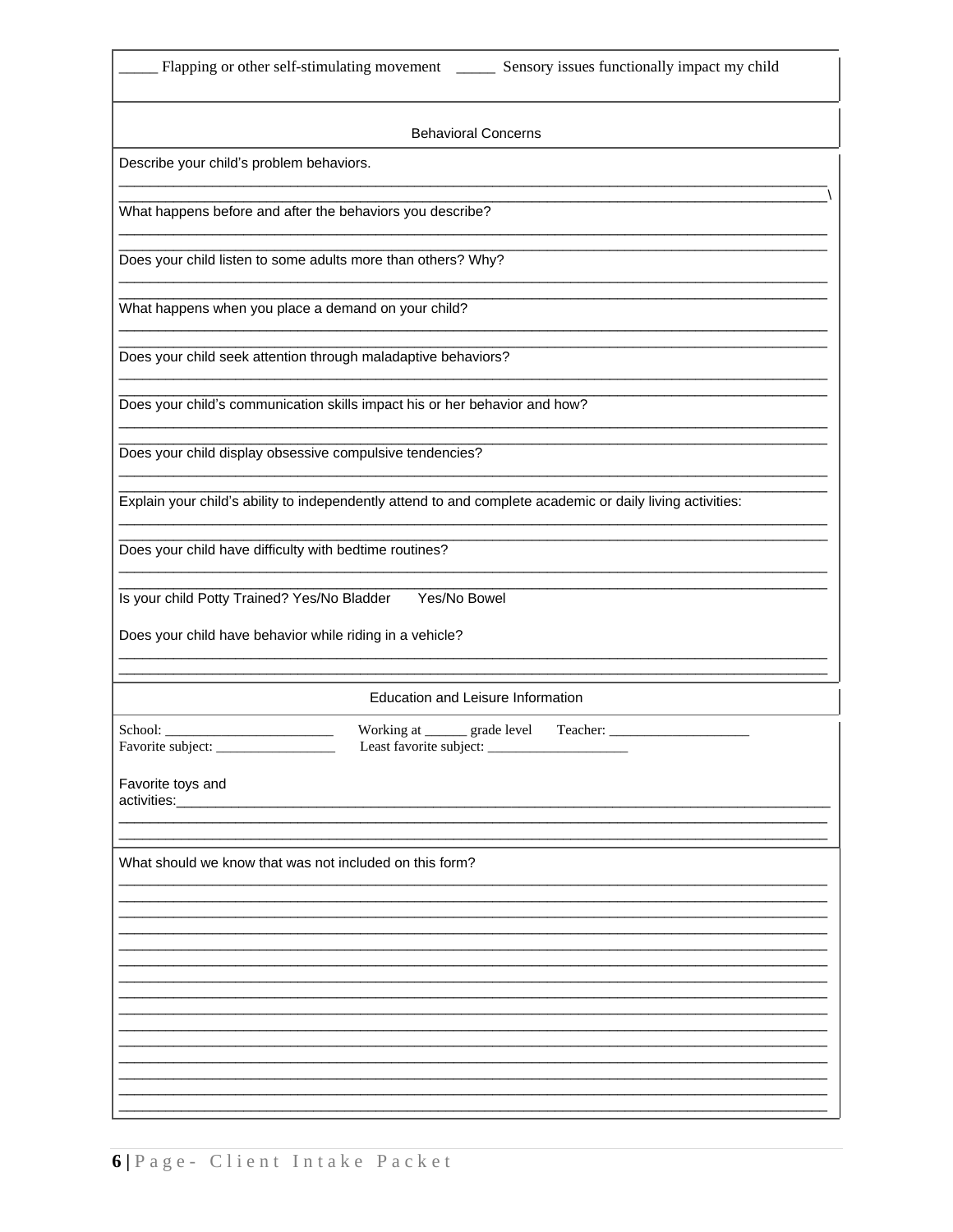|  |  | Flapping or other self-stimulating movement |
|--|--|---------------------------------------------|
|  |  |                                             |

 $\overline{\phantom{a}}$ 

| <b>Behavioral Concerns</b>                                                                                |
|-----------------------------------------------------------------------------------------------------------|
| Describe your child's problem behaviors.                                                                  |
| What happens before and after the behaviors you describe?                                                 |
| Does your child listen to some adults more than others? Why?                                              |
| What happens when you place a demand on your child?                                                       |
| Does your child seek attention through maladaptive behaviors?                                             |
| Does your child's communication skills impact his or her behavior and how?                                |
| Does your child display obsessive compulsive tendencies?                                                  |
| Explain your child's ability to independently attend to and complete academic or daily living activities: |
| Does your child have difficulty with bedtime routines?                                                    |
| Is your child Potty Trained? Yes/No Bladder<br>Yes/No Bowel                                               |
| Does your child have behavior while riding in a vehicle?                                                  |
| Education and Leisure Information                                                                         |
| Working at _______ grade level<br>School:<br>Teacher:<br>Least favorite subject:<br>Favorite subject:     |
| Favorite toys and<br>activities:_________                                                                 |
|                                                                                                           |
| What should we know that was not included on this form?                                                   |
|                                                                                                           |
|                                                                                                           |
|                                                                                                           |
|                                                                                                           |
|                                                                                                           |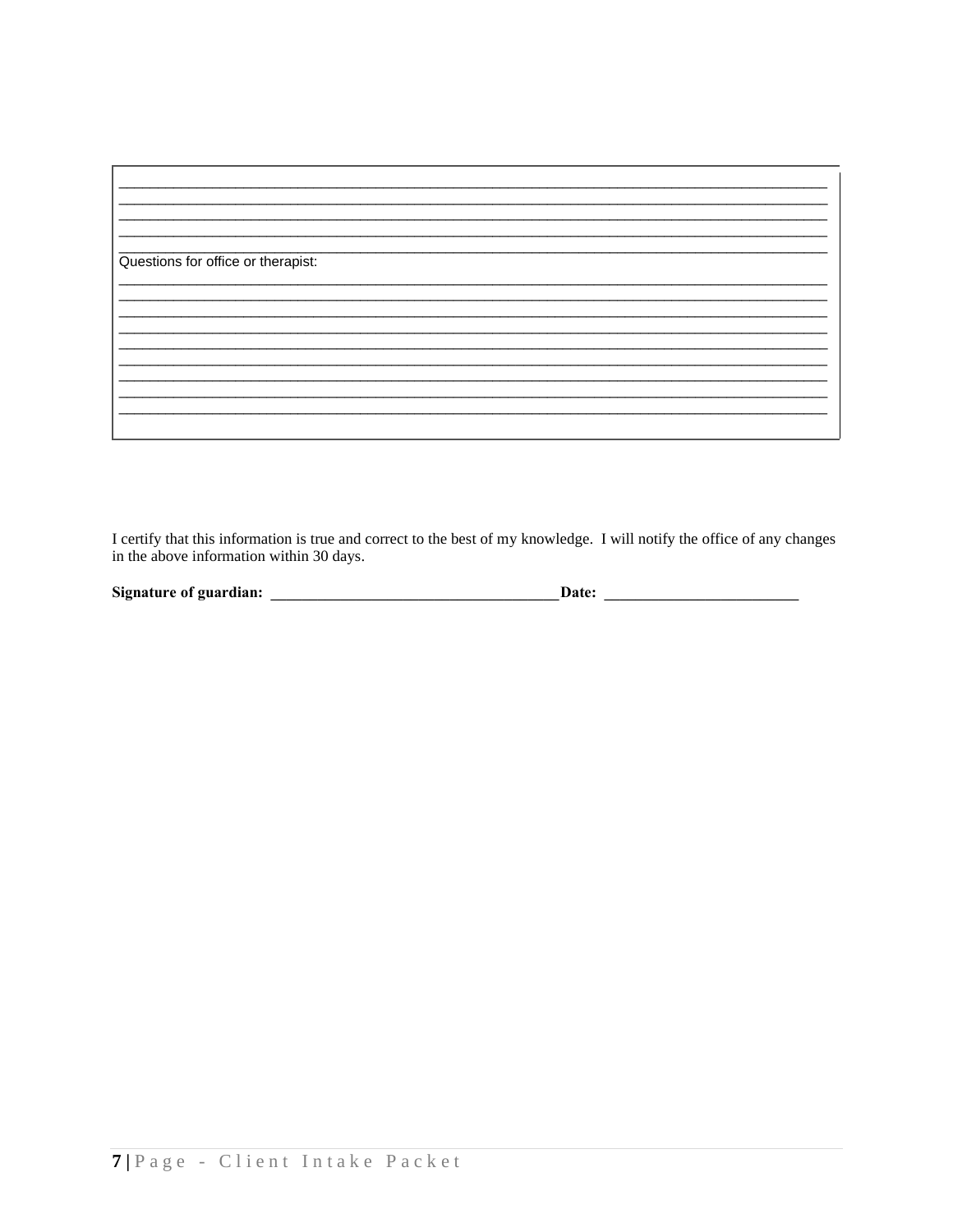| Questions for office or therapist: |  |
|------------------------------------|--|
|                                    |  |
|                                    |  |
|                                    |  |
|                                    |  |
|                                    |  |
|                                    |  |
|                                    |  |
|                                    |  |
|                                    |  |
|                                    |  |
|                                    |  |
|                                    |  |
|                                    |  |
|                                    |  |
|                                    |  |

I certify that this information is true and correct to the best of my knowledge. I will notify the office of any changes in the above information within 30 days.

 $\mathbf{Date:}$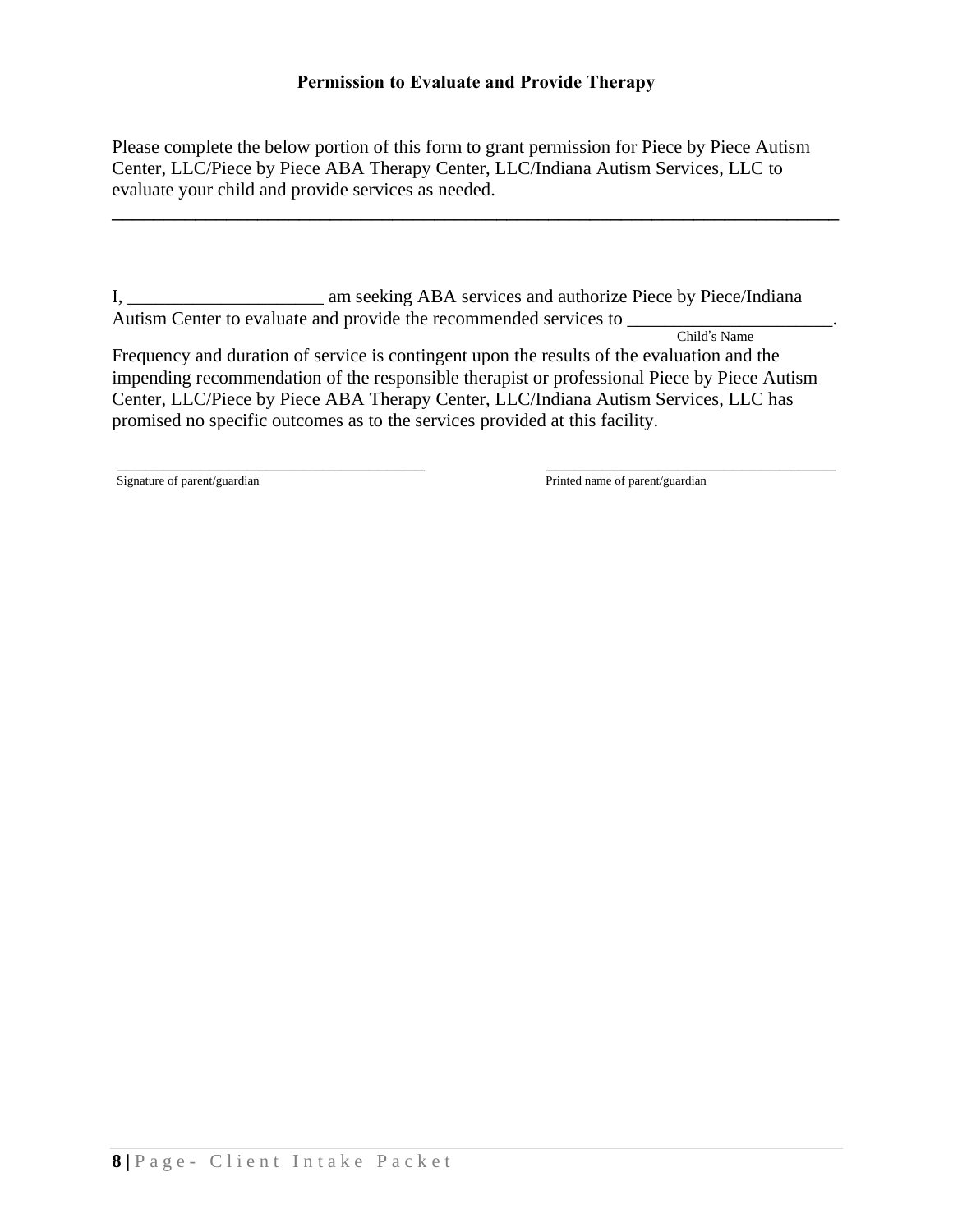# **Permission to Evaluate and Provide Therapy**

Please complete the below portion of this form to grant permission for Piece by Piece Autism Center, LLC/Piece by Piece ABA Therapy Center, LLC/Indiana Autism Services, LLC to evaluate your child and provide services as needed.

\_\_\_\_\_\_\_\_\_\_\_\_\_\_\_\_\_\_\_\_\_\_\_\_\_\_\_\_\_\_\_\_\_\_\_\_\_\_\_\_\_\_\_\_\_\_\_\_\_\_\_\_\_\_\_\_\_\_\_\_\_\_\_\_\_\_\_\_\_\_

I, \_\_\_\_\_\_\_\_\_\_\_\_\_\_\_\_\_\_\_\_\_ am seeking ABA services and authorize Piece by Piece/Indiana Autism Center to evaluate and provide the recommended services to

 Child's Name Frequency and duration of service is contingent upon the results of the evaluation and the impending recommendation of the responsible therapist or professional Piece by Piece Autism Center, LLC/Piece by Piece ABA Therapy Center, LLC/Indiana Autism Services, LLC has promised no specific outcomes as to the services provided at this facility.

\_\_\_\_\_\_\_\_\_\_\_\_\_\_\_\_\_\_\_\_\_\_\_\_\_\_\_\_\_\_\_\_\_ \_\_\_\_\_\_\_\_\_\_\_\_\_\_\_\_\_\_\_\_\_\_\_\_\_\_\_\_\_\_\_

Signature of parent/guardian and the state of parent/guardian printed name of parent/guardian and  $P$ rinted name of parent/guardian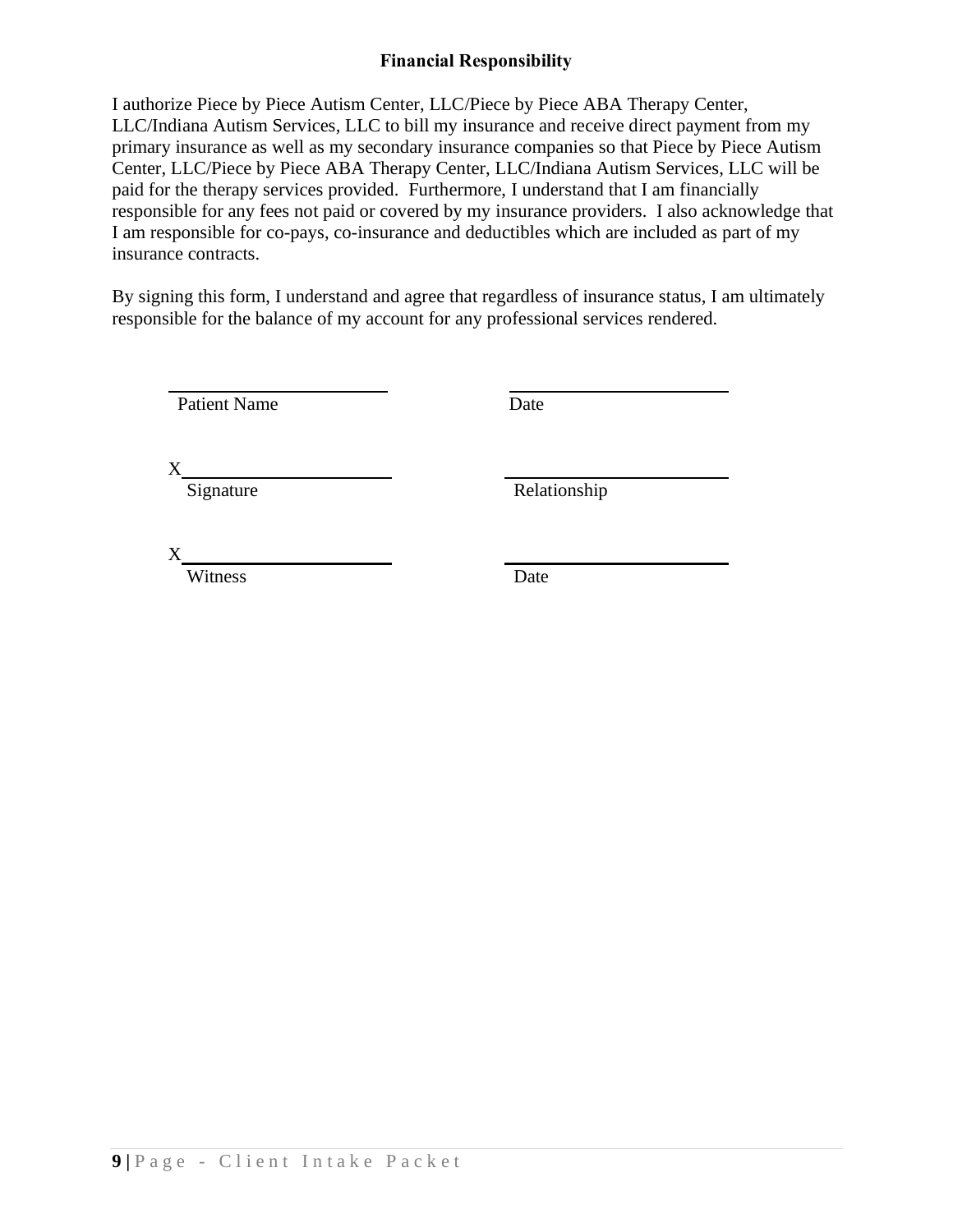# **Financial Responsibility**

I authorize Piece by Piece Autism Center, LLC/Piece by Piece ABA Therapy Center, LLC/Indiana Autism Services, LLC to bill my insurance and receive direct payment from my primary insurance as well as my secondary insurance companies so that Piece by Piece Autism Center, LLC/Piece by Piece ABA Therapy Center, LLC/Indiana Autism Services, LLC will be paid for the therapy services provided. Furthermore, I understand that I am financially responsible for any fees not paid or covered by my insurance providers. I also acknowledge that I am responsible for co-pays, co-insurance and deductibles which are included as part of my insurance contracts.

By signing this form, I understand and agree that regardless of insurance status, I am ultimately responsible for the balance of my account for any professional services rendered.

Patient Name Date

X

Signature Relationship

X

Witness Date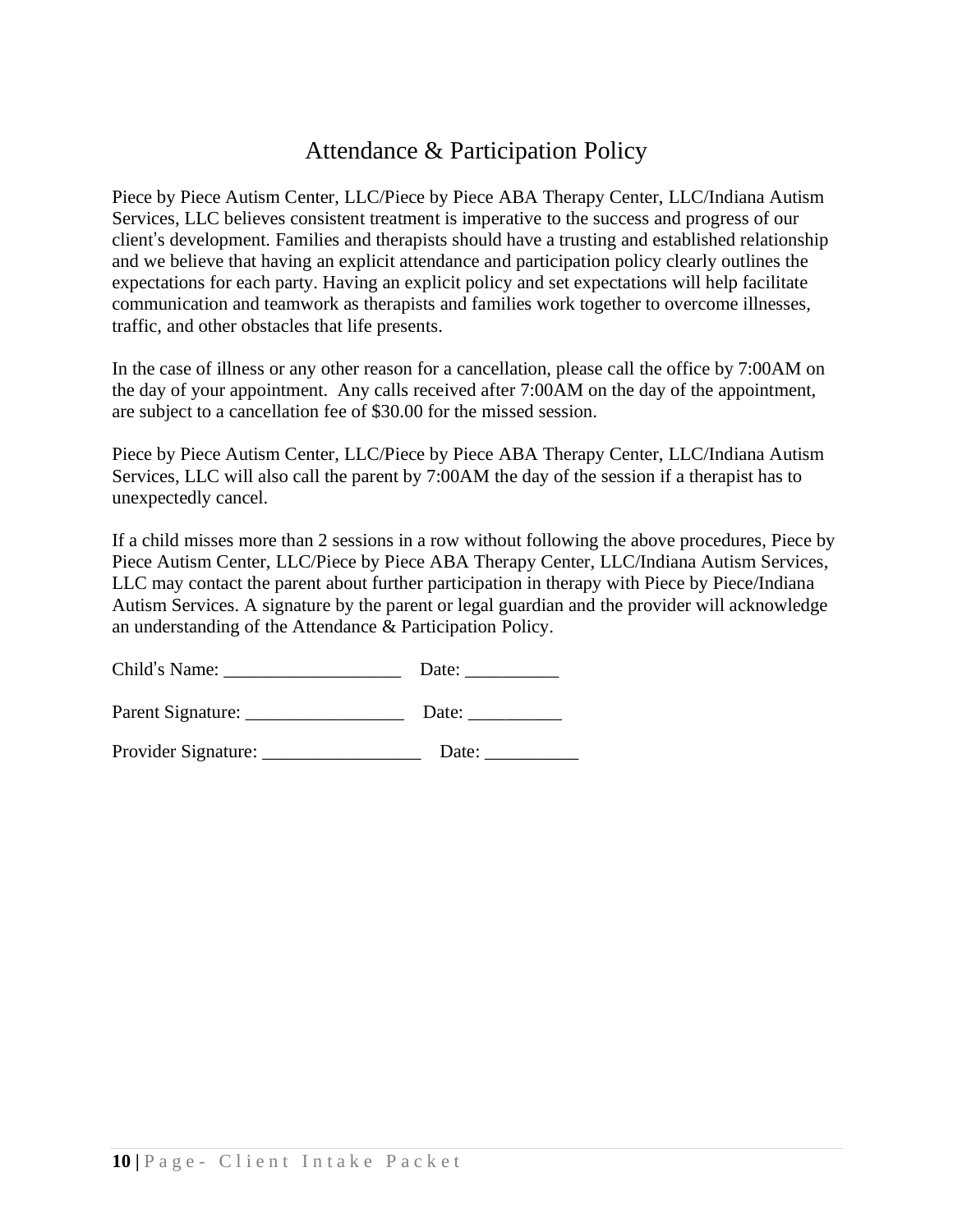# Attendance & Participation Policy

Piece by Piece Autism Center, LLC/Piece by Piece ABA Therapy Center, LLC/Indiana Autism Services, LLC believes consistent treatment is imperative to the success and progress of our client's development. Families and therapists should have a trusting and established relationship and we believe that having an explicit attendance and participation policy clearly outlines the expectations for each party. Having an explicit policy and set expectations will help facilitate communication and teamwork as therapists and families work together to overcome illnesses, traffic, and other obstacles that life presents.

In the case of illness or any other reason for a cancellation, please call the office by 7:00AM on the day of your appointment. Any calls received after 7:00AM on the day of the appointment, are subject to a cancellation fee of \$30.00 for the missed session.

Piece by Piece Autism Center, LLC/Piece by Piece ABA Therapy Center, LLC/Indiana Autism Services, LLC will also call the parent by 7:00AM the day of the session if a therapist has to unexpectedly cancel.

If a child misses more than 2 sessions in a row without following the above procedures, Piece by Piece Autism Center, LLC/Piece by Piece ABA Therapy Center, LLC/Indiana Autism Services, LLC may contact the parent about further participation in therapy with Piece by Piece/Indiana Autism Services. A signature by the parent or legal guardian and the provider will acknowledge an understanding of the Attendance & Participation Policy.

| Child's Name: | Date: |
|---------------|-------|
|---------------|-------|

| Parent Signature: | Date: |
|-------------------|-------|
|                   |       |

Provider Signature: \_\_\_\_\_\_\_\_\_\_\_\_\_\_\_\_\_ Date: \_\_\_\_\_\_\_\_\_\_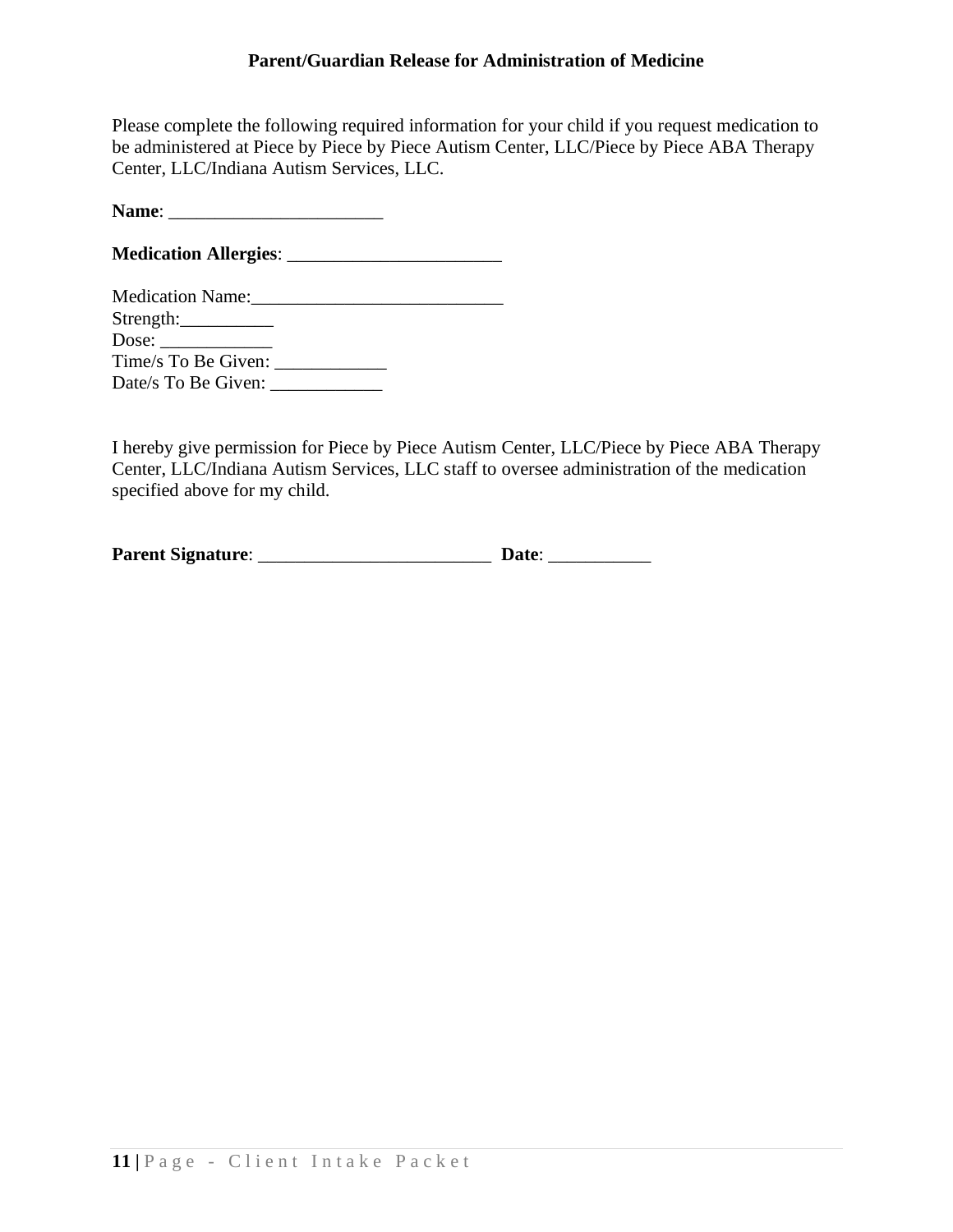## **Parent/Guardian Release for Administration of Medicine**

Please complete the following required information for your child if you request medication to be administered at Piece by Piece by Piece Autism Center, LLC/Piece by Piece ABA Therapy Center, LLC/Indiana Autism Services, LLC.

**Name**: \_\_\_\_\_\_\_\_\_\_\_\_\_\_\_\_\_\_\_\_\_\_\_

**Medication Allergies**: \_\_\_\_\_\_\_\_\_\_\_\_\_\_\_\_\_\_\_\_\_\_\_

| <b>Medication Name:</b> |  |
|-------------------------|--|
| Strength:               |  |
| Dose: $\qquad \qquad$   |  |
| Time/s To Be Given:     |  |
| Date/s To Be Given:     |  |

I hereby give permission for Piece by Piece Autism Center, LLC/Piece by Piece ABA Therapy Center, LLC/Indiana Autism Services, LLC staff to oversee administration of the medication specified above for my child.

| <b>Parent Signature:</b> | Date: |
|--------------------------|-------|
|                          |       |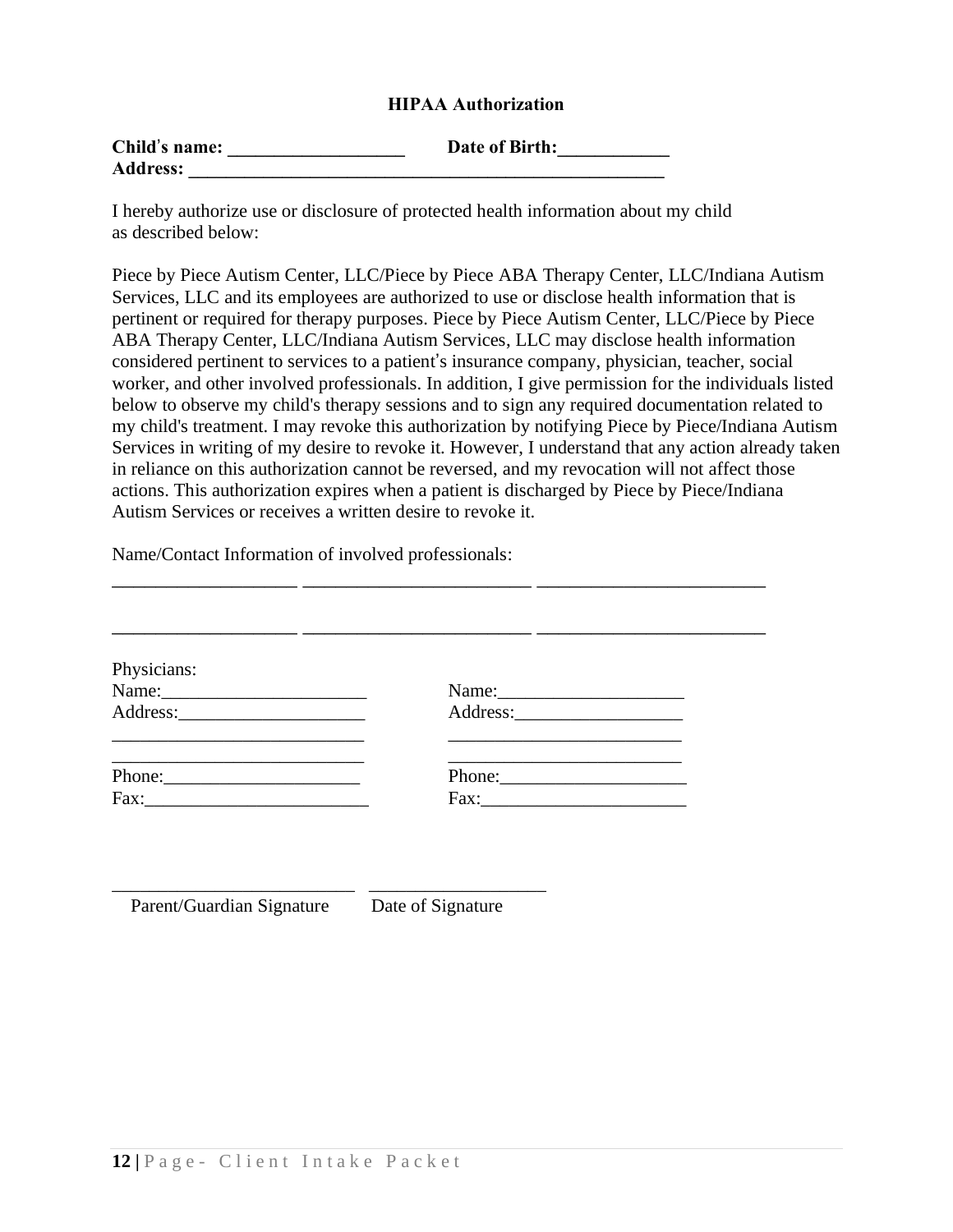# **HIPAA Authorization**

| Child's name:   | Date of Birth: |  |
|-----------------|----------------|--|
| <b>Address:</b> |                |  |

I hereby authorize use or disclosure of protected health information about my child as described below:

Piece by Piece Autism Center, LLC/Piece by Piece ABA Therapy Center, LLC/Indiana Autism Services, LLC and its employees are authorized to use or disclose health information that is pertinent or required for therapy purposes. Piece by Piece Autism Center, LLC/Piece by Piece ABA Therapy Center, LLC/Indiana Autism Services, LLC may disclose health information considered pertinent to services to a patient's insurance company, physician, teacher, social worker, and other involved professionals. In addition, I give permission for the individuals listed below to observe my child's therapy sessions and to sign any required documentation related to my child's treatment. I may revoke this authorization by notifying Piece by Piece/Indiana Autism Services in writing of my desire to revoke it. However, I understand that any action already taken in reliance on this authorization cannot be reversed, and my revocation will not affect those actions. This authorization expires when a patient is discharged by Piece by Piece/Indiana Autism Services or receives a written desire to revoke it.

Name/Contact Information of involved professionals:

\_\_\_\_\_\_\_\_\_\_\_\_\_\_\_\_\_\_\_\_\_\_\_\_\_\_ \_\_\_\_\_\_\_\_\_\_\_\_\_\_\_\_\_\_\_

| Physicians: |        |  |
|-------------|--------|--|
|             |        |  |
|             |        |  |
| Phone:      | Phone: |  |
|             | Fax:   |  |

\_\_\_\_\_\_\_\_\_\_\_\_\_\_\_\_\_ \_\_\_\_\_\_\_\_\_\_\_\_\_\_\_\_\_\_\_\_\_ \_\_\_\_\_\_\_\_\_\_\_\_\_\_\_\_\_\_\_\_\_

Parent/Guardian Signature Date of Signature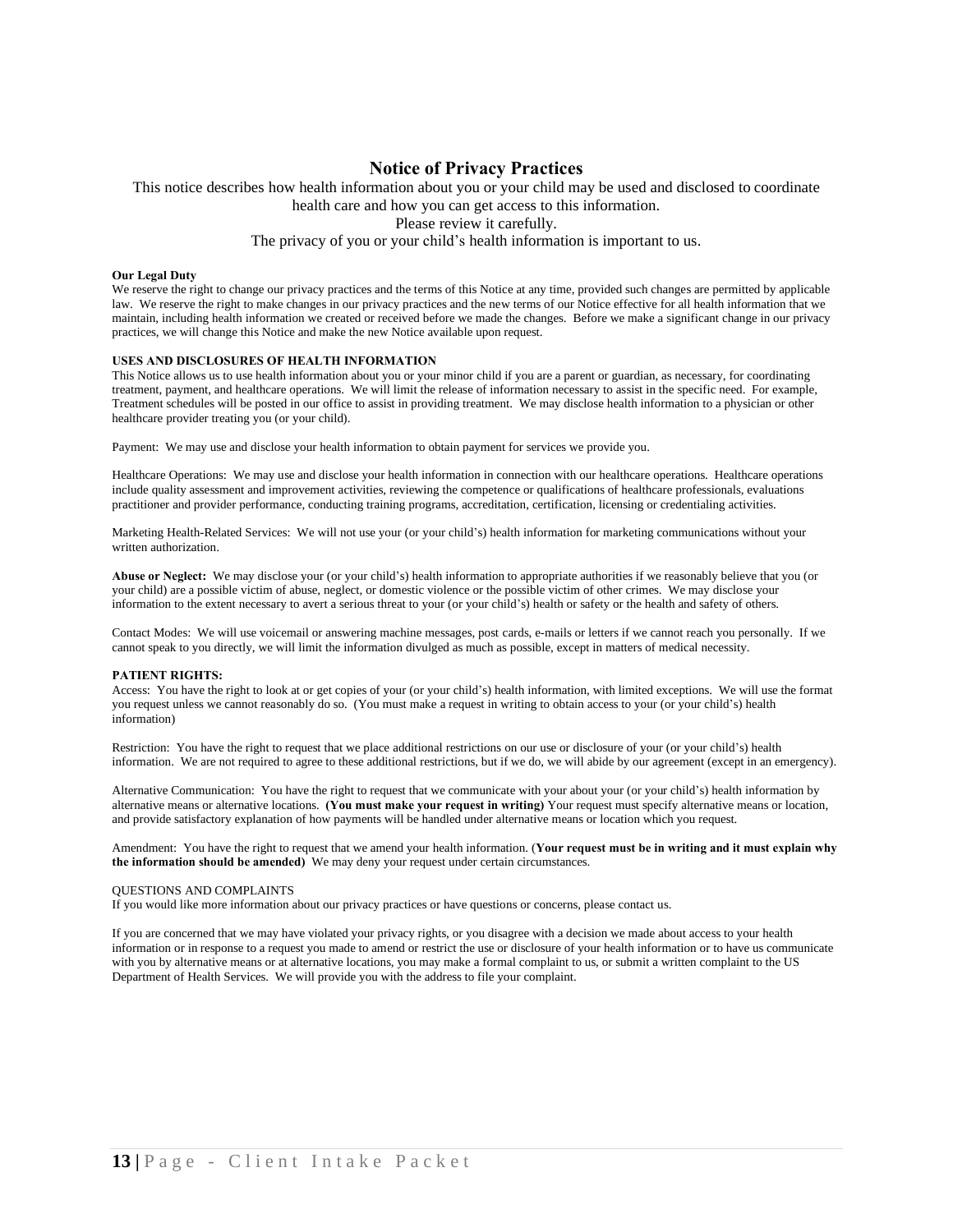### **Notice of Privacy Practices**

This notice describes how health information about you or your child may be used and disclosed to coordinate health care and how you can get access to this information.

Please review it carefully.

### The privacy of you or your child's health information is important to us.

### **Our Legal Duty**

We reserve the right to change our privacy practices and the terms of this Notice at any time, provided such changes are permitted by applicable law. We reserve the right to make changes in our privacy practices and the new terms of our Notice effective for all health information that we maintain, including health information we created or received before we made the changes. Before we make a significant change in our privacy practices, we will change this Notice and make the new Notice available upon request.

#### **USES AND DISCLOSURES OF HEALTH INFORMATION**

This Notice allows us to use health information about you or your minor child if you are a parent or guardian, as necessary, for coordinating treatment, payment, and healthcare operations. We will limit the release of information necessary to assist in the specific need. For example, Treatment schedules will be posted in our office to assist in providing treatment. We may disclose health information to a physician or other healthcare provider treating you (or your child).

Payment: We may use and disclose your health information to obtain payment for services we provide you.

Healthcare Operations: We may use and disclose your health information in connection with our healthcare operations. Healthcare operations include quality assessment and improvement activities, reviewing the competence or qualifications of healthcare professionals, evaluations practitioner and provider performance, conducting training programs, accreditation, certification, licensing or credentialing activities.

Marketing Health-Related Services: We will not use your (or your child's) health information for marketing communications without your written authorization.

**Abuse or Neglect:** We may disclose your (or your child's) health information to appropriate authorities if we reasonably believe that you (or your child) are a possible victim of abuse, neglect, or domestic violence or the possible victim of other crimes. We may disclose your information to the extent necessary to avert a serious threat to your (or your child's) health or safety or the health and safety of others.

Contact Modes: We will use voicemail or answering machine messages, post cards, e-mails or letters if we cannot reach you personally. If we cannot speak to you directly, we will limit the information divulged as much as possible, except in matters of medical necessity.

### **PATIENT RIGHTS:**

Access: You have the right to look at or get copies of your (or your child's) health information, with limited exceptions. We will use the format you request unless we cannot reasonably do so. (You must make a request in writing to obtain access to your (or your child's) health information)

Restriction: You have the right to request that we place additional restrictions on our use or disclosure of your (or your child's) health information. We are not required to agree to these additional restrictions, but if we do, we will abide by our agreement (except in an emergency).

Alternative Communication: You have the right to request that we communicate with your about your (or your child's) health information by alternative means or alternative locations. **(You must make your request in writing)** Your request must specify alternative means or location, and provide satisfactory explanation of how payments will be handled under alternative means or location which you request.

Amendment: You have the right to request that we amend your health information. (**Your request must be in writing and it must explain why the information should be amended)** We may deny your request under certain circumstances.

### QUESTIONS AND COMPLAINTS

If you would like more information about our privacy practices or have questions or concerns, please contact us.

If you are concerned that we may have violated your privacy rights, or you disagree with a decision we made about access to your health information or in response to a request you made to amend or restrict the use or disclosure of your health information or to have us communicate with you by alternative means or at alternative locations, you may make a formal complaint to us, or submit a written complaint to the US Department of Health Services. We will provide you with the address to file your complaint.